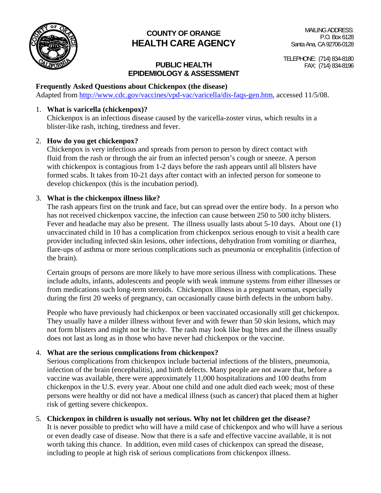

# **COUNTY OF ORANGE HEALTH CARE AGENCY**

# **PUBLIC HEALTH FAX:** (714) 834-8196 **EPIDEMIOLOGY & ASSESSMENT**

TELEPHONE: (714) 834-8180

# **Frequently Asked Questions about Chickenpox (the disease)**

Adapted from http://www.cdc.gov/vaccines/vpd-vac/varicella/dis-faqs-gen.htm, accessed 11/5/08.

# 1. **What is varicella (chickenpox)?**

 Chickenpox is an infectious disease caused by the varicella-zoster virus, which results in a blister-like rash, itching, tiredness and fever.

# 2. **How do you get chickenpox?**

Chickenpox is very infectious and spreads from person to person by direct contact with fluid from the rash or through the air from an infected person's cough or sneeze. A person with chickenpox is contagious from 1-2 days before the rash appears until all blisters have formed scabs. It takes from 10-21 days after contact with an infected person for someone to develop chickenpox (this is the incubation period).

# 3. **What is the chickenpox illness like?**

 The rash appears first on the trunk and face, but can spread over the entire body. In a person who has not received chickenpox vaccine, the infection can cause between 250 to 500 itchy blisters. Fever and headache may also be present. The illness usually lasts about 5-10 days. About one (1) unvaccinated child in 10 has a complication from chickenpox serious enough to visit a health care provider including infected skin lesions, other infections, dehydration from vomiting or diarrhea, flare-ups of asthma or more serious complications such as pneumonia or encephalitis (infection of the brain).

 Certain groups of persons are more likely to have more serious illness with complications. These include adults, infants, adolescents and people with weak immune systems from either illnesses or from medications such long-term steroids. Chickenpox illness in a pregnant woman, especially during the first 20 weeks of pregnancy, can occasionally cause birth defects in the unborn baby.

People who have previously had chickenpox or been vaccinated occasionally still get chickenpox. They usually have a milder illness without fever and with fewer than 50 skin lesions, which may not form blisters and might not be itchy. The rash may look like bug bites and the illness usually does not last as long as in those who have never had chickenpox or the vaccine.

# 4. **What are the serious complications from chickenpox?**

 Serious complications from chickenpox include bacterial infections of the blisters, pneumonia, infection of the brain (encephalitis), and birth defects. Many people are not aware that, before a vaccine was available, there were approximately 11,000 hospitalizations and 100 deaths from chickenpox in the U.S. every year. About one child and one adult died each week; most of these persons were healthy or did not have a medical illness (such as cancer) that placed them at higher risk of getting severe chickenpox.

# 5. **Chickenpox in children is usually not serious. Why not let children get the disease?**

 It is never possible to predict who will have a mild case of chickenpox and who will have a serious or even deadly case of disease. Now that there is a safe and effective vaccine available, it is not worth taking this chance. In addition, even mild cases of chickenpox can spread the disease, including to people at high risk of serious complications from chickenpox illness.